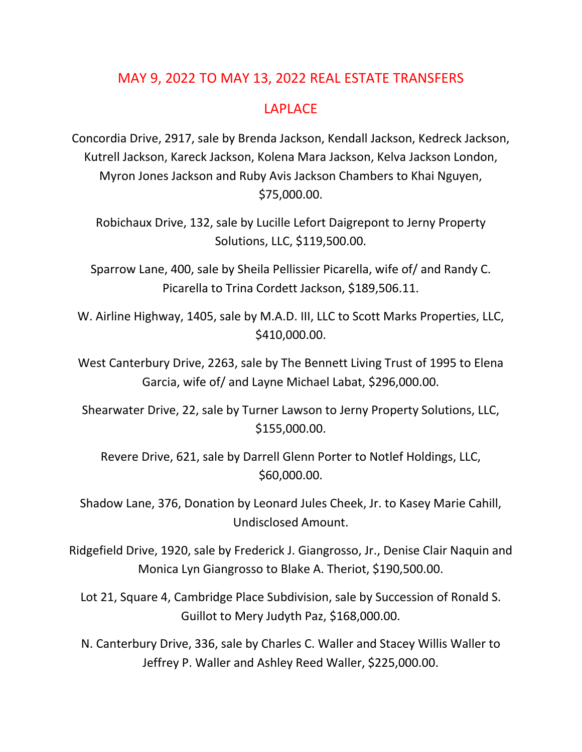## MAY 9, 2022 TO MAY 13, 2022 REAL ESTATE TRANSFERS

#### LAPLACE

Concordia Drive, 2917, sale by Brenda Jackson, Kendall Jackson, Kedreck Jackson, Kutrell Jackson, Kareck Jackson, Kolena Mara Jackson, Kelva Jackson London, Myron Jones Jackson and Ruby Avis Jackson Chambers to Khai Nguyen, \$75,000.00.

Robichaux Drive, 132, sale by Lucille Lefort Daigrepont to Jerny Property Solutions, LLC, \$119,500.00.

Sparrow Lane, 400, sale by Sheila Pellissier Picarella, wife of/ and Randy C. Picarella to Trina Cordett Jackson, \$189,506.11.

W. Airline Highway, 1405, sale by M.A.D. III, LLC to Scott Marks Properties, LLC, \$410,000.00.

West Canterbury Drive, 2263, sale by The Bennett Living Trust of 1995 to Elena Garcia, wife of/ and Layne Michael Labat, \$296,000.00.

Shearwater Drive, 22, sale by Turner Lawson to Jerny Property Solutions, LLC, \$155,000.00.

Revere Drive, 621, sale by Darrell Glenn Porter to Notlef Holdings, LLC, \$60,000.00.

Shadow Lane, 376, Donation by Leonard Jules Cheek, Jr. to Kasey Marie Cahill, Undisclosed Amount.

Ridgefield Drive, 1920, sale by Frederick J. Giangrosso, Jr., Denise Clair Naquin and Monica Lyn Giangrosso to Blake A. Theriot, \$190,500.00.

Lot 21, Square 4, Cambridge Place Subdivision, sale by Succession of Ronald S. Guillot to Mery Judyth Paz, \$168,000.00.

N. Canterbury Drive, 336, sale by Charles C. Waller and Stacey Willis Waller to Jeffrey P. Waller and Ashley Reed Waller, \$225,000.00.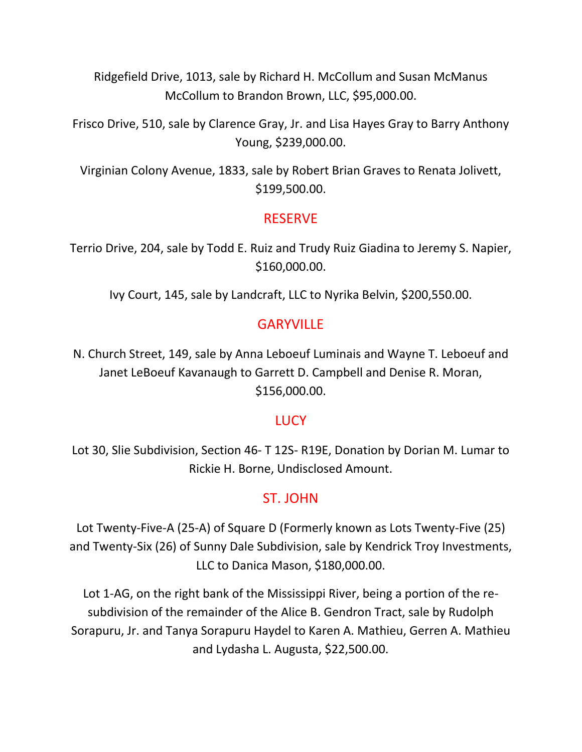Ridgefield Drive, 1013, sale by Richard H. McCollum and Susan McManus McCollum to Brandon Brown, LLC, \$95,000.00.

Frisco Drive, 510, sale by Clarence Gray, Jr. and Lisa Hayes Gray to Barry Anthony Young, \$239,000.00.

Virginian Colony Avenue, 1833, sale by Robert Brian Graves to Renata Jolivett, \$199,500.00.

### RESERVE

Terrio Drive, 204, sale by Todd E. Ruiz and Trudy Ruiz Giadina to Jeremy S. Napier, \$160,000.00.

Ivy Court, 145, sale by Landcraft, LLC to Nyrika Belvin, \$200,550.00.

## **GARYVILLE**

N. Church Street, 149, sale by Anna Leboeuf Luminais and Wayne T. Leboeuf and Janet LeBoeuf Kavanaugh to Garrett D. Campbell and Denise R. Moran, \$156,000.00.

#### **LUCY**

Lot 30, Slie Subdivision, Section 46- T 12S- R19E, Donation by Dorian M. Lumar to Rickie H. Borne, Undisclosed Amount.

# ST. JOHN

Lot Twenty-Five-A (25-A) of Square D (Formerly known as Lots Twenty-Five (25) and Twenty-Six (26) of Sunny Dale Subdivision, sale by Kendrick Troy Investments, LLC to Danica Mason, \$180,000.00.

Lot 1-AG, on the right bank of the Mississippi River, being a portion of the resubdivision of the remainder of the Alice B. Gendron Tract, sale by Rudolph Sorapuru, Jr. and Tanya Sorapuru Haydel to Karen A. Mathieu, Gerren A. Mathieu and Lydasha L. Augusta, \$22,500.00.